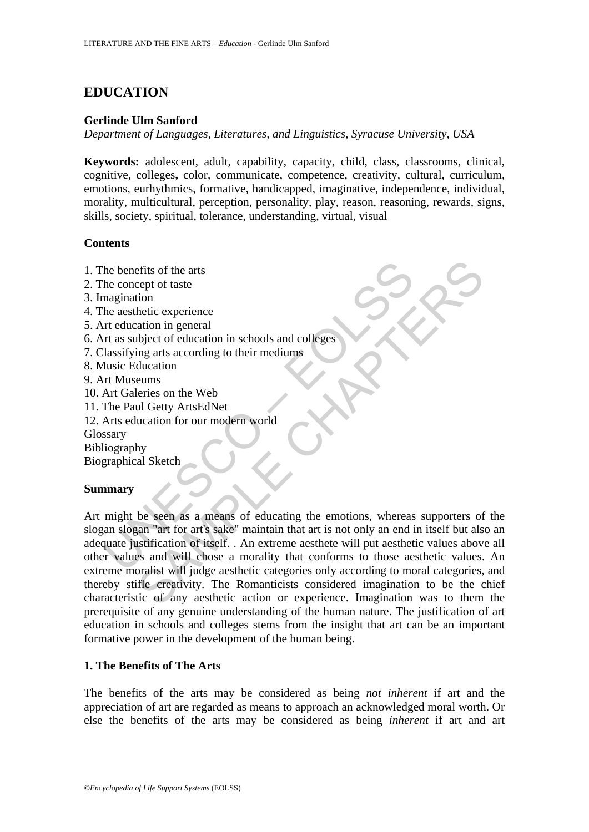# **EDUCATION**

### **Gerlinde Ulm Sanford**

*Department of Languages, Literatures, and Linguistics, Syracuse University, USA* 

**Keywords:** adolescent, adult, capability, capacity, child, class, classrooms, clinical, cognitive, colleges**,** color, communicate, competence, creativity, cultural, curriculum, emotions, eurhythmics, formative, handicapped, imaginative, independence, individual, morality, multicultural, perception, personality, play, reason, reasoning, rewards, signs, skills, society, spiritual, tolerance, understanding, virtual, visual

## **Contents**

- 1. The benefits of the arts
- 2. The concept of taste
- 3. Imagination
- 4. The aesthetic experience
- 5. Art education in general
- 6. Art as subject of education in schools and colleges
- 7. Classifying arts according to their mediums
- 8. Music Education
- 9. Art Museums
- 10. Art Galeries on the Web
- 11. The Paul Getty ArtsEdNet
- 12. Arts education for our modern world
- **Glossary**

Bibliography

Biographical Sketch

#### **Summary**

The benefits of the arts<br>
the concept of taste<br>
magination<br>
the aesthetic experience<br>
art education in general<br>
the aesthetic experience<br>
the asubject of education in schools and colleges<br>
lassifying arts according to thei effits of the arts<br>
enger of taste<br>
their<br>
their experience<br>
ataion in general<br>
ataion in general<br>
divection in schools and colleges<br>
ataion<br>
ataion<br>
eums<br>
eums<br>
eums<br>
eums<br>
be seen as a means of educating the emotions, wh Art might be seen as a means of educating the emotions, whereas supporters of the slogan slogan "art for art's sake" maintain that art is not only an end in itself but also an adequate justification of itself. . An extreme aesthete will put aesthetic values above all other values and will chose a morality that conforms to those aesthetic values. An extreme moralist will judge aesthetic categories only according to moral categories, and thereby stifle creativity. The Romanticists considered imagination to be the chief characteristic of any aesthetic action or experience. Imagination was to them the prerequisite of any genuine understanding of the human nature. The justification of art education in schools and colleges stems from the insight that art can be an important formative power in the development of the human being.

## **1. The Benefits of The Arts**

The benefits of the arts may be considered as being *not inherent* if art and the appreciation of art are regarded as means to approach an acknowledged moral worth. Or else the benefits of the arts may be considered as being *inherent* if art and art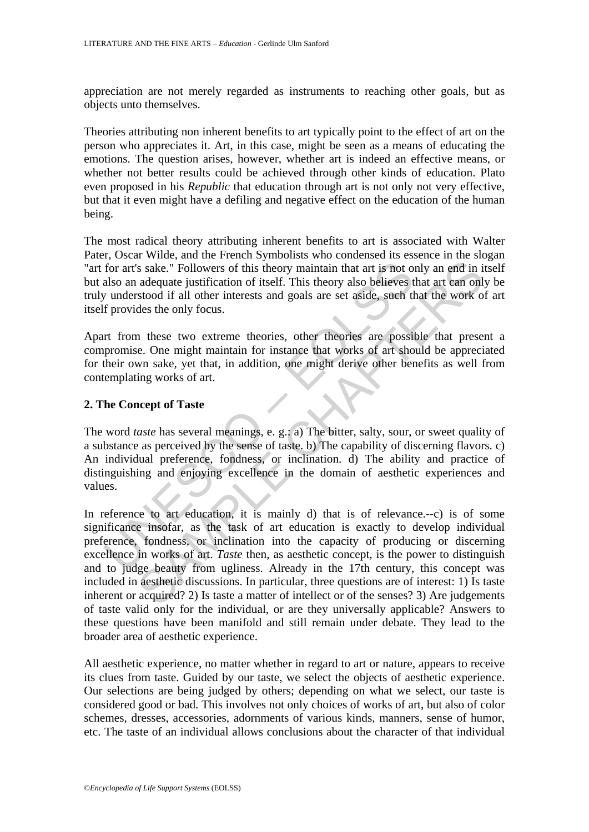appreciation are not merely regarded as instruments to reaching other goals, but as objects unto themselves.

Theories attributing non inherent benefits to art typically point to the effect of art on the person who appreciates it. Art, in this case, might be seen as a means of educating the emotions. The question arises, however, whether art is indeed an effective means, or whether not better results could be achieved through other kinds of education. Plato even proposed in his *Republic* that education through art is not only not very effective, but that it even might have a defiling and negative effect on the education of the human being.

The most radical theory attributing inherent benefits to art is associated with Walter Pater, Oscar Wilde, and the French Symbolists who condensed its essence in the slogan "art for art's sake." Followers of this theory maintain that art is not only an end in itself but also an adequate justification of itself. This theory also believes that art can only be truly understood if all other interests and goals are set aside, such that the work of art itself provides the only focus.

Apart from these two extreme theories, other theories are possible that present a compromise. One might maintain for instance that works of art should be appreciated for their own sake, yet that, in addition, one might derive other benefits as well from contemplating works of art.

### **2. The Concept of Taste**

for art's sake." Followers of this theory maintain that art is not o<br>also an adequate justification of itself. This theory also believes ty understood if all other interests and goals are set aside, such the<br>provides the The word *taste* has several meanings, e. g.: a) The bitter, salty, sour, or sweet quality of a substance as perceived by the sense of taste. b) The capability of discerning flavors. c) An individual preference, fondness, or inclination. d) The ability and practice of distinguishing and enjoying excellence in the domain of aesthetic experiences and values.

is sake." Followers of this theory maintain that art is not only an end in i<br>adequate justification of itself. This theory and that art is not only an end in i<br>adequate justification of itself. This theory also believes t In reference to art education, it is mainly d) that is of relevance.--c) is of some significance insofar, as the task of art education is exactly to develop individual preference, fondness, or inclination into the capacity of producing or discerning excellence in works of art. *Taste* then, as aesthetic concept, is the power to distinguish and to judge beauty from ugliness. Already in the 17th century, this concept was included in aesthetic discussions. In particular, three questions are of interest: 1) Is taste inherent or acquired? 2) Is taste a matter of intellect or of the senses? 3) Are judgements of taste valid only for the individual, or are they universally applicable? Answers to these questions have been manifold and still remain under debate. They lead to the broader area of aesthetic experience.

All aesthetic experience, no matter whether in regard to art or nature, appears to receive its clues from taste. Guided by our taste, we select the objects of aesthetic experience. Our selections are being judged by others; depending on what we select, our taste is considered good or bad. This involves not only choices of works of art, but also of color schemes, dresses, accessories, adornments of various kinds, manners, sense of humor, etc. The taste of an individual allows conclusions about the character of that individual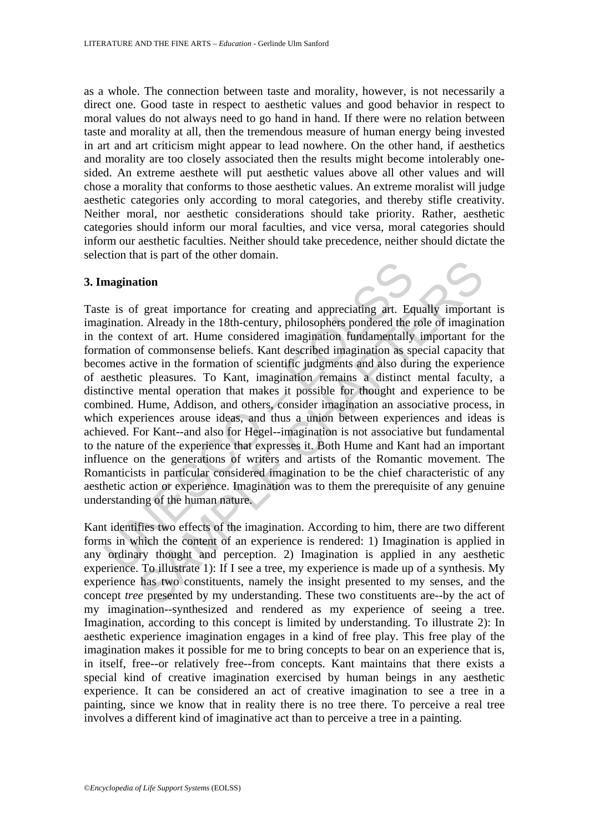as a whole. The connection between taste and morality, however, is not necessarily a direct one. Good taste in respect to aesthetic values and good behavior in respect to moral values do not always need to go hand in hand. If there were no relation between taste and morality at all, then the tremendous measure of human energy being invested in art and art criticism might appear to lead nowhere. On the other hand, if aesthetics and morality are too closely associated then the results might become intolerably onesided. An extreme aesthete will put aesthetic values above all other values and will chose a morality that conforms to those aesthetic values. An extreme moralist will judge aesthetic categories only according to moral categories, and thereby stifle creativity. Neither moral, nor aesthetic considerations should take priority. Rather, aesthetic categories should inform our moral faculties, and vice versa, moral categories should inform our aesthetic faculties. Neither should take precedence, neither should dictate the selection that is part of the other domain.

#### **3. Imagination**

magination<br>
is of great importance for creating and appreciating art. Equination. Already in the 18th-century, philosophers pondered the context of art. Hume considered imagination fundamentally<br>
mation of commonsense beli The present is the last and appreciating ant. Equally importation<br>at f great importance for creating and appreciating art. Equally important<br>of commonsense beliefs. Kant described imagination fundamentally important for<br>of Taste is of great importance for creating and appreciating art. Equally important is imagination. Already in the 18th-century, philosophers pondered the role of imagination in the context of art. Hume considered imagination fundamentally important for the formation of commonsense beliefs. Kant described imagination as special capacity that becomes active in the formation of scientific judgments and also during the experience of aesthetic pleasures. To Kant, imagination remains a distinct mental faculty, a distinctive mental operation that makes it possible for thought and experience to be combined. Hume, Addison, and others, consider imagination an associative process, in which experiences arouse ideas, and thus a union between experiences and ideas is achieved. For Kant--and also for Hegel--imagination is not associative but fundamental to the nature of the experience that expresses it. Both Hume and Kant had an important influence on the generations of writers and artists of the Romantic movement. The Romanticists in particular considered imagination to be the chief characteristic of any aesthetic action or experience. Imagination was to them the prerequisite of any genuine understanding of the human nature.

Kant identifies two effects of the imagination. According to him, there are two different forms in which the content of an experience is rendered: 1) Imagination is applied in any ordinary thought and perception. 2) Imagination is applied in any aesthetic experience. To illustrate 1): If I see a tree, my experience is made up of a synthesis. My experience has two constituents, namely the insight presented to my senses, and the concept *tree* presented by my understanding. These two constituents are--by the act of my imagination--synthesized and rendered as my experience of seeing a tree. Imagination, according to this concept is limited by understanding. To illustrate 2): In aesthetic experience imagination engages in a kind of free play. This free play of the imagination makes it possible for me to bring concepts to bear on an experience that is, in itself, free--or relatively free--from concepts. Kant maintains that there exists a special kind of creative imagination exercised by human beings in any aesthetic experience. It can be considered an act of creative imagination to see a tree in a painting, since we know that in reality there is no tree there. To perceive a real tree involves a different kind of imaginative act than to perceive a tree in a painting.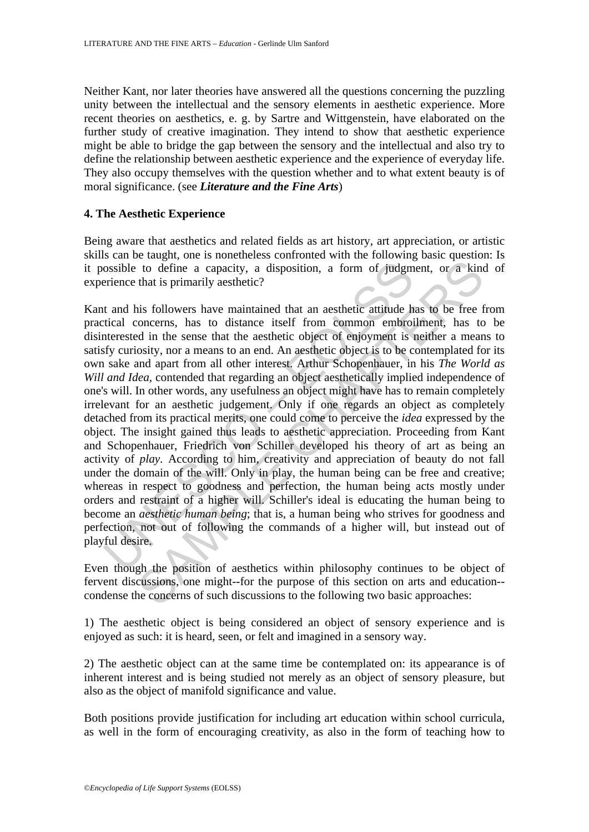Neither Kant, nor later theories have answered all the questions concerning the puzzling unity between the intellectual and the sensory elements in aesthetic experience. More recent theories on aesthetics, e. g. by Sartre and Wittgenstein, have elaborated on the further study of creative imagination. They intend to show that aesthetic experience might be able to bridge the gap between the sensory and the intellectual and also try to define the relationship between aesthetic experience and the experience of everyday life. They also occupy themselves with the question whether and to what extent beauty is of moral significance. (see *Literature and the Fine Arts*)

### **4. The Aesthetic Experience**

Being aware that aesthetics and related fields as art history, art appreciation, or artistic skills can be taught, one is nonetheless confronted with the following basic question: Is it possible to define a capacity, a disposition, a form of judgment, or a kind of experience that is primarily aesthetic?

ossible to define a capacity, a disposition, a form of judgm<br>erience that is primarily aesthetic?<br>t and his followers have maintained that an aesthetic attitude h<br>tical concerns, has to distance itself from common embroit<br> to define a capacity, a disposition, a form of judgment, or a kind that is primarily aesthetic?<br>
is followers have maintained that an aesthetic attitude has to be free froncerns, has to distance itself from common embroil Kant and his followers have maintained that an aesthetic attitude has to be free from practical concerns, has to distance itself from common embroilment, has to be disinterested in the sense that the aesthetic object of enjoyment is neither a means to satisfy curiosity, nor a means to an end. An aesthetic object is to be contemplated for its own sake and apart from all other interest. Arthur Schopenhauer, in his *The World as Will and Idea*, contended that regarding an object aesthetically implied independence of one's will. In other words, any usefulness an object might have has to remain completely irrelevant for an aesthetic judgement. Only if one regards an object as completely detached from its practical merits, one could come to perceive the *idea* expressed by the object. The insight gained thus leads to aesthetic appreciation. Proceeding from Kant and Schopenhauer, Friedrich von Schiller developed his theory of art as being an activity of *play.* According to him, creativity and appreciation of beauty do not fall under the domain of the will. Only in play, the human being can be free and creative; whereas in respect to goodness and perfection, the human being acts mostly under orders and restraint of a higher will. Schiller's ideal is educating the human being to become an *aesthetic human being*; that is, a human being who strives for goodness and perfection, not out of following the commands of a higher will, but instead out of playful desire.

Even though the position of aesthetics within philosophy continues to be object of fervent discussions, one might--for the purpose of this section on arts and education- condense the concerns of such discussions to the following two basic approaches:

1) The aesthetic object is being considered an object of sensory experience and is enjoyed as such: it is heard, seen, or felt and imagined in a sensory way.

2) The aesthetic object can at the same time be contemplated on: its appearance is of inherent interest and is being studied not merely as an object of sensory pleasure, but also as the object of manifold significance and value.

Both positions provide justification for including art education within school curricula, as well in the form of encouraging creativity, as also in the form of teaching how to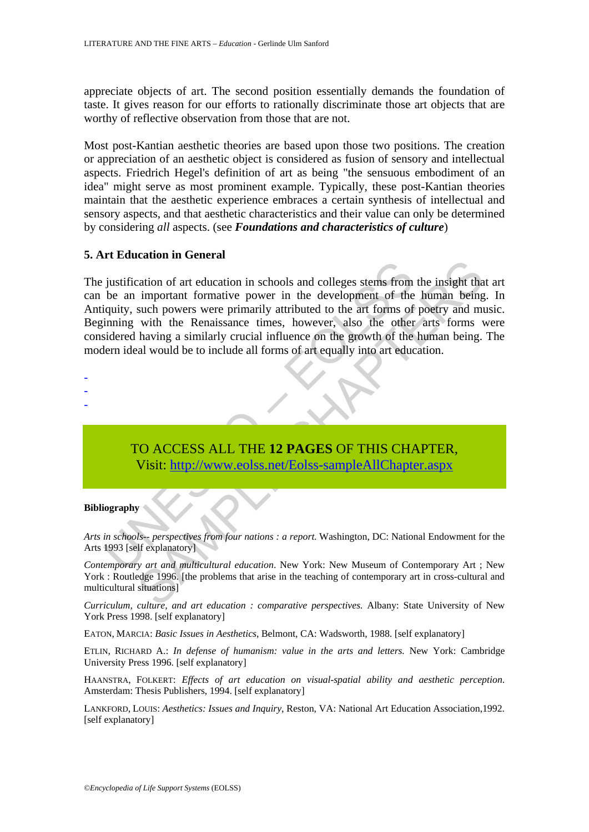appreciate objects of art. The second position essentially demands the foundation of taste. It gives reason for our efforts to rationally discriminate those art objects that are worthy of reflective observation from those that are not.

Most post-Kantian aesthetic theories are based upon those two positions. The creation or appreciation of an aesthetic object is considered as fusion of sensory and intellectual aspects. Friedrich Hegel's definition of art as being "the sensuous embodiment of an idea" might serve as most prominent example. Typically, these post-Kantian theories maintain that the aesthetic experience embraces a certain synthesis of intellectual and sensory aspects, and that aesthetic characteristics and their value can only be determined by considering *all* aspects. (see *Foundations and characteristics of culture*)

## **5. Art Education in General**

justification of art education in schools and colleges stems from<br>the an important formative power in the development of the<br>iquity, such powers were primarily attributed to the art forms of<br>ining with the Renaissance time Transformation in schools and colleges stems from the insight that<br>important formative power in the development of the human being<br>such powers were primarily attributed to the art forms of poetry and m<br>with the Renaissance The justification of art education in schools and colleges stems from the insight that art can be an important formative power in the development of the human being. In Antiquity, such powers were primarily attributed to the art forms of poetry and music. Beginning with the Renaissance times, however, also the other arts forms were considered having a similarly crucial influence on the growth of the human being. The modern ideal would be to include all forms of art equally into art education.

-

- -
- -

TO ACCESS ALL THE **12 PAGES** OF THIS CHAPTER, Visit: http://www.eolss.net/Eolss-sampleAllChapter.aspx

#### **Bibliography**

*Arts in schools-- perspectives from four nations : a report*. Washington, DC: National Endowment for the Arts 1993 [self explanatory]

*Contemporary art and multicultural education*. New York: New Museum of Contemporary Art ; New York : Routledge 1996. [the problems that arise in the teaching of contemporary art in cross-cultural and multicultural situations]

*Curriculum, culture, and art education : comparative perspectives.* Albany: State University of New York Press 1998. [self explanatory]

EATON, MARCIA: *Basic Issues in Aesthetics*, Belmont, CA: Wadsworth, 1988. [self explanatory]

ETLIN, RICHARD A.: *In defense of humanism: value in the arts and letters.* New York: Cambridge University Press 1996. [self explanatory]

HAANSTRA, FOLKERT: *Effects of art education on visual-spatial ability and aesthetic perception*. Amsterdam: Thesis Publishers, 1994. [self explanatory]

LANKFORD, LOUIS: *Aesthetics: Issues and Inquiry*, Reston, VA: National Art Education Association,1992. [self explanatory]